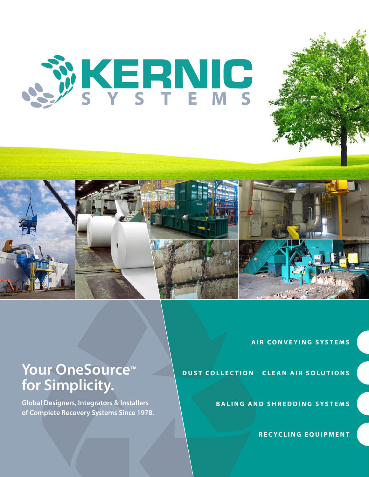



**AIR CONVEYING SYSTEMS**

## **Your OneSource™ for Simplicity.**

**Global Designers, Integrators & Installers of Complete Recovery Systems Since 1978.**

### **DUST COLLECTION - CLEAN AIR SOLUTIONS**

**BALING AND SHREDDING SYSTEMS**

**RECYCLING EQUIPMENT**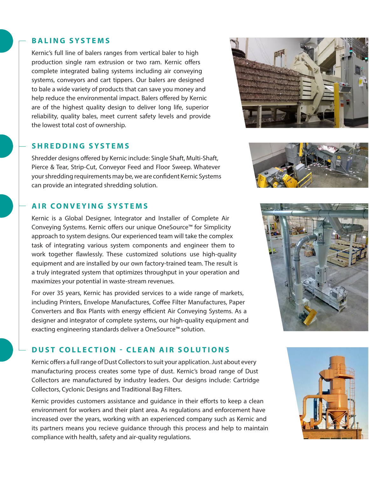#### **BALING SYSTEMS**

Kernic's full line of balers ranges from vertical baler to high production single ram extrusion or two ram. Kernic offers complete integrated baling systems including air conveying systems, conveyors and cart tippers. Our balers are designed to bale a wide variety of products that can save you money and help reduce the environmental impact. Balers offered by Kernic are of the highest quality design to deliver long life, superior reliability, quality bales, meet current safety levels and provide the lowest total cost of ownership.

#### **SHREDDING SYSTEMS**

Shredder designs offered by Kernic include: Single Shaft, Multi-Shaft, Pierce & Tear, Strip-Cut, Conveyor Feed and Floor Sweep. Whatever your shredding requirements may be, we are confident Kernic Systems can provide an integrated shredding solution.

#### **AIR CONVEYING SYSTEMS**

Kernic is a Global Designer, Integrator and Installer of Complete Air Conveying Systems. Kernic offers our unique OneSource™ for Simplicity approach to system designs. Our experienced team will take the complex task of integrating various system components and engineer them to work together flawlessly. These customized solutions use high-quality equipment and are installed by our own factory-trained team. The result is a truly integrated system that optimizes throughput in your operation and maximizes your potential in waste-stream revenues.

For over 35 years, Kernic has provided services to a wide range of markets, including Printers, Envelope Manufactures, Coffee Filter Manufactures, Paper Converters and Box Plants with energy efficient Air Conveying Systems. As a designer and integrator of complete systems, our high-quality equipment and exacting engineering standards deliver a OneSource™ solution.

#### **DUST COLLECTION - CLEAN AIR SOLUTIONS**

Kernic offers a full range of Dust Collectors to suit your application. Just about every manufacturing process creates some type of dust. Kernic's broad range of Dust Collectors are manufactured by industry leaders. Our designs include: Cartridge Collectors, Cyclonic Designs and Traditional Bag Filters.

Kernic provides customers assistance and guidance in their efforts to keep a clean environment for workers and their plant area. As regulations and enforcement have increased over the years, working with an experienced company such as Kernic and its partners means you recieve guidance through this process and help to maintain compliance with health, safety and air-quality regulations.







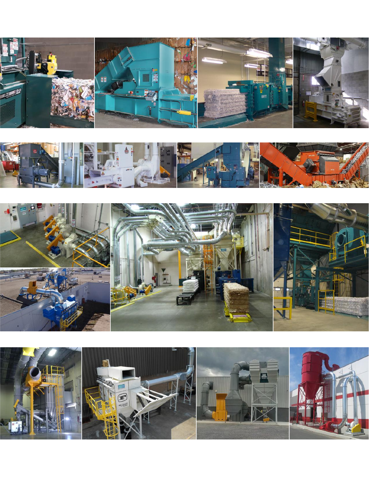